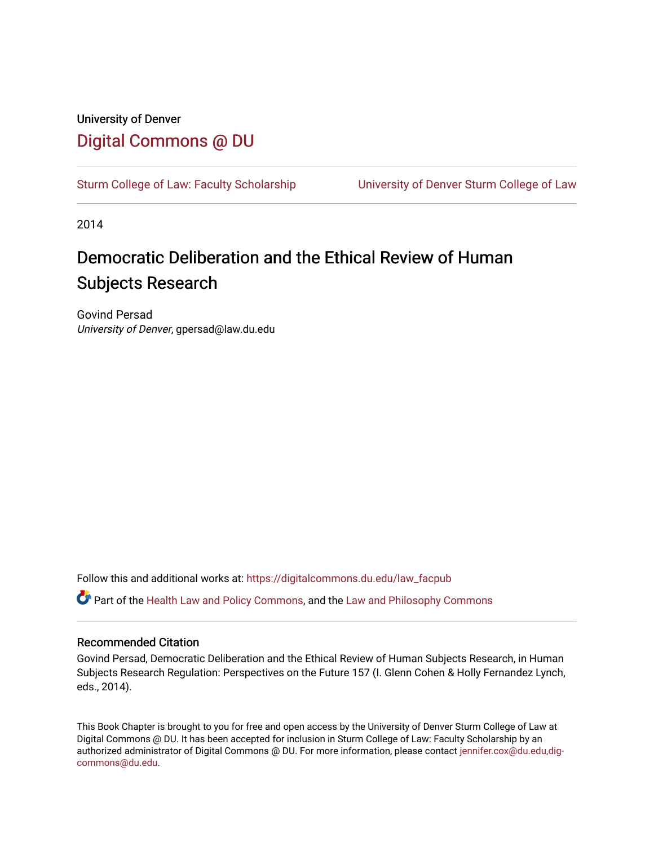# University of Denver [Digital Commons @ DU](https://digitalcommons.du.edu/)

[Sturm College of Law: Faculty Scholarship](https://digitalcommons.du.edu/law_facpub) [University of Denver Sturm College of Law](https://digitalcommons.du.edu/denver_law) 

2014

# Democratic Deliberation and the Ethical Review of Human Subjects Research

Govind Persad University of Denver, gpersad@law.du.edu

Follow this and additional works at: [https://digitalcommons.du.edu/law\\_facpub](https://digitalcommons.du.edu/law_facpub?utm_source=digitalcommons.du.edu%2Flaw_facpub%2F237&utm_medium=PDF&utm_campaign=PDFCoverPages) 

Part of the [Health Law and Policy Commons](http://network.bepress.com/hgg/discipline/901?utm_source=digitalcommons.du.edu%2Flaw_facpub%2F237&utm_medium=PDF&utm_campaign=PDFCoverPages), and the [Law and Philosophy Commons](http://network.bepress.com/hgg/discipline/1299?utm_source=digitalcommons.du.edu%2Flaw_facpub%2F237&utm_medium=PDF&utm_campaign=PDFCoverPages) 

### Recommended Citation

Govind Persad, Democratic Deliberation and the Ethical Review of Human Subjects Research, in Human Subjects Research Regulation: Perspectives on the Future 157 (I. Glenn Cohen & Holly Fernandez Lynch, eds., 2014).

This Book Chapter is brought to you for free and open access by the University of Denver Sturm College of Law at Digital Commons @ DU. It has been accepted for inclusion in Sturm College of Law: Faculty Scholarship by an authorized administrator of Digital Commons @ DU. For more information, please contact [jennifer.cox@du.edu,dig](mailto:jennifer.cox@du.edu,dig-commons@du.edu)[commons@du.edu.](mailto:jennifer.cox@du.edu,dig-commons@du.edu)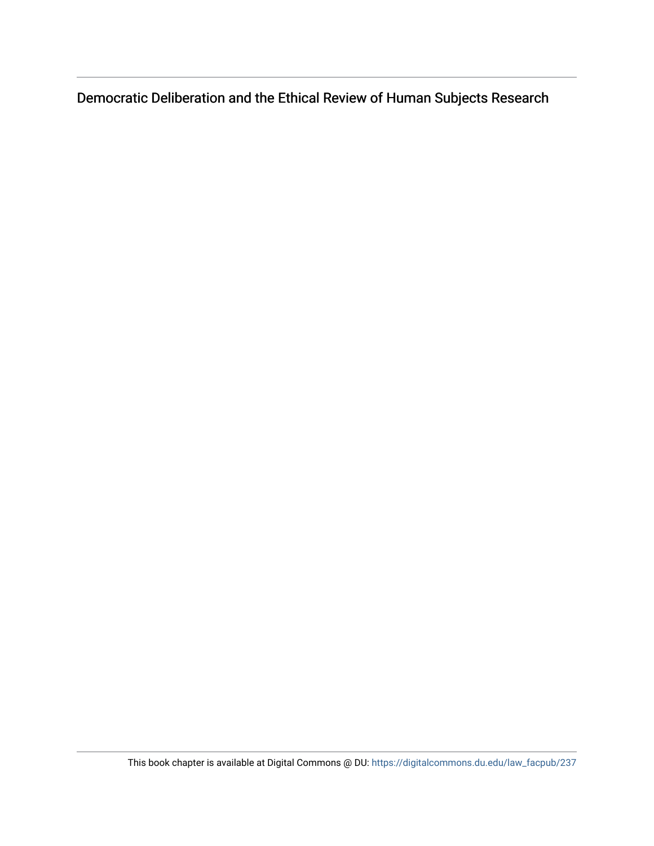Democratic Deliberation and the Ethical Review of Human Subjects Research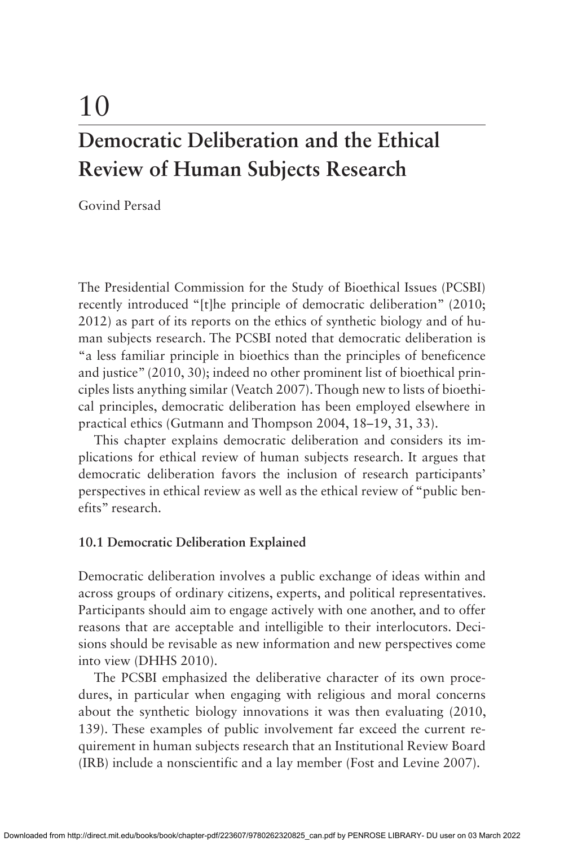# 10 **Democratic Deliberation and the Ethical Review of Human Subjects Research**

Govind Persad

The Presidential Commission for the Study of Bioethical Issues (PCSBI) recently introduced " [t] he principle of democratic deliberation" (2010; 2012) as part of its reports on the ethics of synthetic biology and of human subjects research. The PCSBI noted that democratic deliberation is " a less familiar principle in bioethics than the principles of beneficence and justice "(2010, 30); indeed no other prominent list of bioethical principles lists anything similar ( Veatch 2007 ). Though new to lists of bioethical principles, democratic deliberation has been employed elsewhere in practical ethics (Gutmann and Thompson 2004, 18–19, 31, 33).

This chapter explains democratic deliberation and considers its implications for ethical review of human subjects research. It argues that democratic deliberation favors the inclusion of research participants' perspectives in ethical review as well as the ethical review of " public benefits" research.

#### **10.1 Democratic Deliberation Explained**

Democratic deliberation involves a public exchange of ideas within and across groups of ordinary citizens, experts, and political representatives. Participants should aim to engage actively with one another, and to offer reasons that are acceptable and intelligible to their interlocutors. Decisions should be revisable as new information and new perspectives come into view (DHHS 2010).

The PCSBI emphasized the deliberative character of its own procedures, in particular when engaging with religious and moral concerns about the synthetic biology innovations it was then evaluating (2010, 139). These examples of public involvement far exceed the current requirement in human subjects research that an Institutional Review Board (IRB) include a nonscientific and a lay member (Fost and Levine 2007).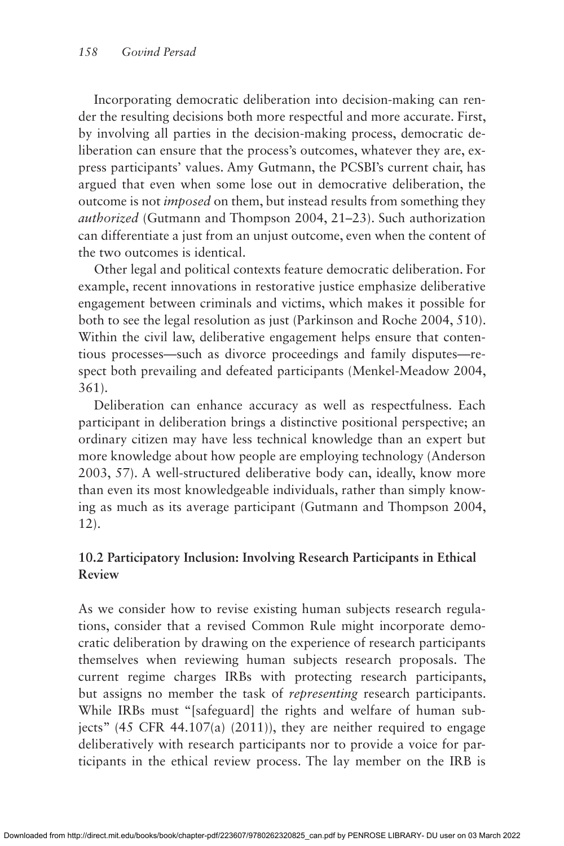Incorporating democratic deliberation into decision-making can render the resulting decisions both more respectful and more accurate. First, by involving all parties in the decision-making process, democratic deliberation can ensure that the process's outcomes, whatever they are, express participants' values. Amy Gutmann, the PCSBI's current chair, has argued that even when some lose out in democrative deliberation, the outcome is not *imposed* on them, but instead results from something they *authorized* (Gutmann and Thompson 2004, 21–23). Such authorization can differentiate a just from an unjust outcome, even when the content of the two outcomes is identical.

Other legal and political contexts feature democratic deliberation. For example, recent innovations in restorative justice emphasize deliberative engagement between criminals and victims, which makes it possible for both to see the legal resolution as just (Parkinson and Roche 2004, 510). Within the civil law, deliberative engagement helps ensure that contentious processes — such as divorce proceedings and family disputes — respect both prevailing and defeated participants (Menkel-Meadow 2004, 361).

Deliberation can enhance accuracy as well as respectfulness. Each participant in deliberation brings a distinctive positional perspective; an ordinary citizen may have less technical knowledge than an expert but more knowledge about how people are employing technology ( Anderson 2003, 57). A well-structured deliberative body can, ideally, know more than even its most knowledgeable individuals, rather than simply knowing as much as its average participant (Gutmann and Thompson 2004, 12).

# **10.2 Participatory Inclusion: Involving Research Participants in Ethical Review**

As we consider how to revise existing human subjects research regulations, consider that a revised Common Rule might incorporate democratic deliberation by drawing on the experience of research participants themselves when reviewing human subjects research proposals. The current regime charges IRBs with protecting research participants, but assigns no member the task of *representing* research participants. While IRBs must "[safeguard] the rights and welfare of human subjects"  $(45 \text{ CFR } 44.107(a) (2011))$ , they are neither required to engage deliberatively with research participants nor to provide a voice for participants in the ethical review process. The lay member on the IRB is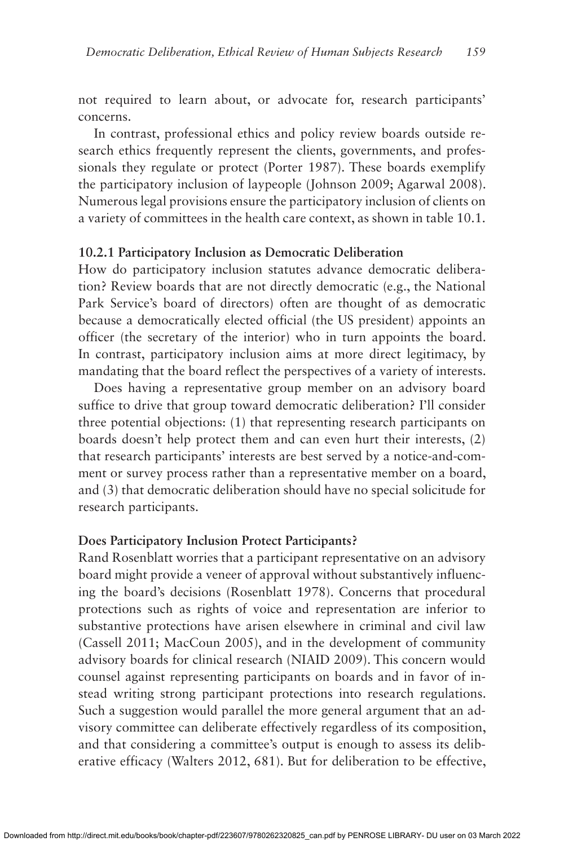not required to learn about, or advocate for, research participants' concerns.

In contrast, professional ethics and policy review boards outside research ethics frequently represent the clients, governments, and professionals they regulate or protect (Porter 1987). These boards exemplify the participatory inclusion of laypeople (Johnson 2009; Agarwal 2008). Numerous legal provisions ensure the participatory inclusion of clients on a variety of committees in the health care context, as shown in table 10.1.

#### **10.2.1 Participatory Inclusion as Democratic Deliberation**

How do participatory inclusion statutes advance democratic deliberation? Review boards that are not directly democratic (e.g., the National Park Service's board of directors) often are thought of as democratic because a democratically elected official (the US president) appoints an officer (the secretary of the interior) who in turn appoints the board. In contrast, participatory inclusion aims at more direct legitimacy, by mandating that the board reflect the perspectives of a variety of interests.

Does having a representative group member on an advisory board suffice to drive that group toward democratic deliberation? I'll consider three potential objections: (1) that representing research participants on boards doesn't help protect them and can even hurt their interests, (2) that research participants' interests are best served by a notice-and-comment or survey process rather than a representative member on a board, and (3) that democratic deliberation should have no special solicitude for research participants.

#### **Does Participatory Inclusion Protect Participants?**

Rand Rosenblatt worries that a participant representative on an advisory board might provide a veneer of approval without substantively influencing the board's decisions (Rosenblatt 1978). Concerns that procedural protections such as rights of voice and representation are inferior to substantive protections have arisen elsewhere in criminal and civil law (Cassell 2011; MacCoun 2005), and in the development of community advisory boards for clinical research ( NIAID 2009 ). This concern would counsel against representing participants on boards and in favor of instead writing strong participant protections into research regulations. Such a suggestion would parallel the more general argument that an advisory committee can deliberate effectively regardless of its composition, and that considering a committee's output is enough to assess its deliberative efficacy (Walters 2012, 681). But for deliberation to be effective,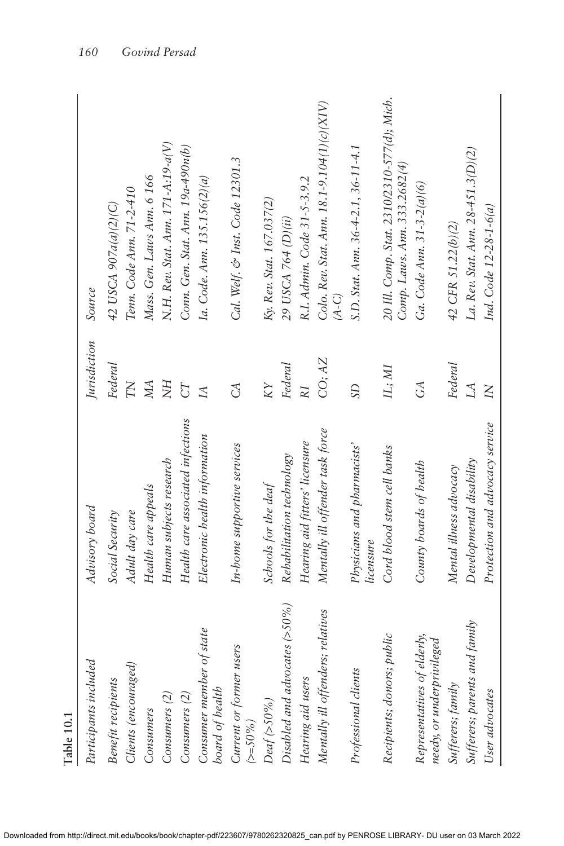| Table 10.1                                               |                                          |                 |                                                                             |
|----------------------------------------------------------|------------------------------------------|-----------------|-----------------------------------------------------------------------------|
| Participants included                                    | Advisory board                           | Jurisdiction    | Source                                                                      |
| Benefit recipients                                       | Social Security                          | Federal         | 42 USCA 907a(a)(2)(C)                                                       |
| Clients (encouraged)                                     | Adult day care                           | $\overline{N}$  | Tenn. Code Ann. 71-2-410                                                    |
| Consumers                                                | Health care appeals                      | MA              | Mass. Gen. Laws Ann. 6 166                                                  |
| Consumers (2)                                            | Human subjects research                  | NН              | N.H. Rev. Stat. Ann. 171-A:19-a(V)                                          |
| Consumers (2)                                            | Health care associated infections        | <b>CT</b>       | Conn. Gen. Stat. Ann. $19a-490n(b)$                                         |
| Consumer member of state<br>board of health              | Electronic health information            | $\overline{A}$  | Ia. Code. Ann. 135.156(2)(a)                                                |
| Current or former users<br>$(>=50\%$                     | In-home supportive services              | J               | Cal. Welf. & Inst. Code 12301.3                                             |
| $Deaf$ (> $50\%$ )                                       | Schools for the deaf                     | KY              | Ky. Rev. Stat. 167.037(2)                                                   |
| Disabled and advocates $(>50\%)$                         | Rehabilitation technology                | Federal         | 29 USCA 764 (D)(ii)                                                         |
| Hearing aid users                                        | Hearing aid fitters' licensure           | RI <sub>.</sub> | R.I. Admin. Code 31-5-3.9.2                                                 |
| Mentally ill offenders; relatives                        | Mentally ill offender task force         | CO; AZ          | Colo. Rev. Stat. Ann. 18.1-9.104(1)(c)(XIV)<br>$\overline{A}$ -C)           |
| Professional clients                                     | Physicians and pharmacists'<br>licensure | SD              | S.D. Stat. Ann. 36-4-2.1, 36-11-4.1                                         |
| Recipients; donors; public                               | Cord blood stem cell banks               | IL; MI          | 20 Ill. Comp. Stat. 2310/2310-577(d); Mich.<br>Comp. Laws. Ann. 333.2682(4) |
| Representatives of elderly,<br>needy, or underprivileged | County boards of health                  | $G\mathcal{A}$  | Ga. Code Ann. 31-3-2(a)(6)                                                  |
| Sufferers; family                                        | Mental illness advocacy                  | Federal         | 42 CFR 51.22(b)(2)                                                          |
| Sufferers; parents and family                            | Developmental disability                 | LA              | La. Rev. Stat. Ann. 28-451.3(D)(2)                                          |
| User advocates                                           | Protection and advocacy service          | $\overline{N}$  | Ind. Code 12-28-1-6(a)                                                      |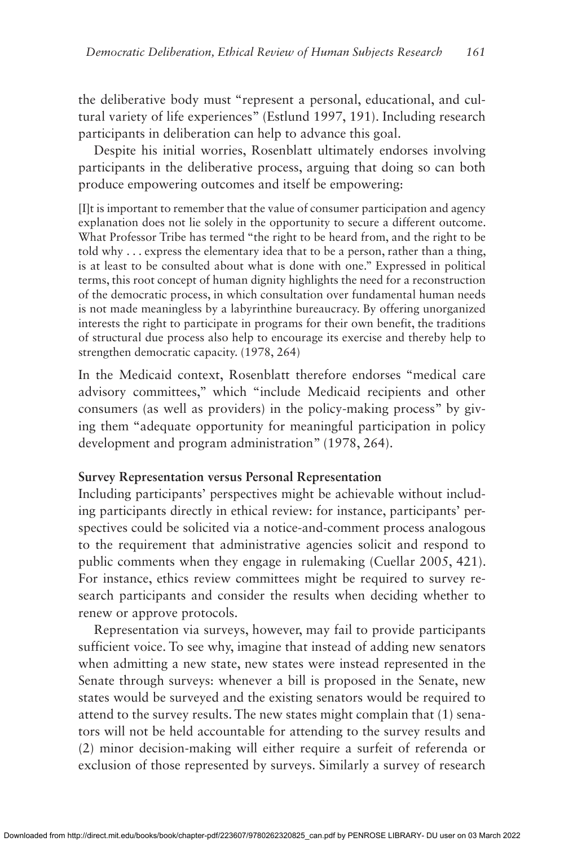the deliberative body must " represent a personal, educational, and cultural variety of life experiences" (Estlund 1997, 191). Including research participants in deliberation can help to advance this goal.

Despite his initial worries, Rosenblatt ultimately endorses involving participants in the deliberative process, arguing that doing so can both produce empowering outcomes and itself be empowering:

[I]t is important to remember that the value of consumer participation and agency explanation does not lie solely in the opportunity to secure a different outcome. What Professor Tribe has termed "the right to be heard from, and the right to be told why . . . express the elementary idea that to be a person, rather than a thing, is at least to be consulted about what is done with one." Expressed in political terms, this root concept of human dignity highlights the need for a reconstruction of the democratic process, in which consultation over fundamental human needs is not made meaningless by a labyrinthine bureaucracy. By offering unorganized interests the right to participate in programs for their own benefit, the traditions of structural due process also help to encourage its exercise and thereby help to strengthen democratic capacity. (1978, 264)

In the Medicaid context, Rosenblatt therefore endorses " medical care advisory committees," which "include Medicaid recipients and other consumers (as well as providers) in the policy-making process" by giving them " adequate opportunity for meaningful participation in policy development and program administration" (1978, 264).

#### **Survey Representation versus Personal Representation**

Including participants' perspectives might be achievable without including participants directly in ethical review: for instance, participants' perspectives could be solicited via a notice-and-comment process analogous to the requirement that administrative agencies solicit and respond to public comments when they engage in rulemaking (Cuellar 2005, 421). For instance, ethics review committees might be required to survey research participants and consider the results when deciding whether to renew or approve protocols.

Representation via surveys, however, may fail to provide participants sufficient voice. To see why, imagine that instead of adding new senators when admitting a new state, new states were instead represented in the Senate through surveys: whenever a bill is proposed in the Senate, new states would be surveyed and the existing senators would be required to attend to the survey results. The new states might complain that (1) senators will not be held accountable for attending to the survey results and (2) minor decision-making will either require a surfeit of referenda or exclusion of those represented by surveys. Similarly a survey of research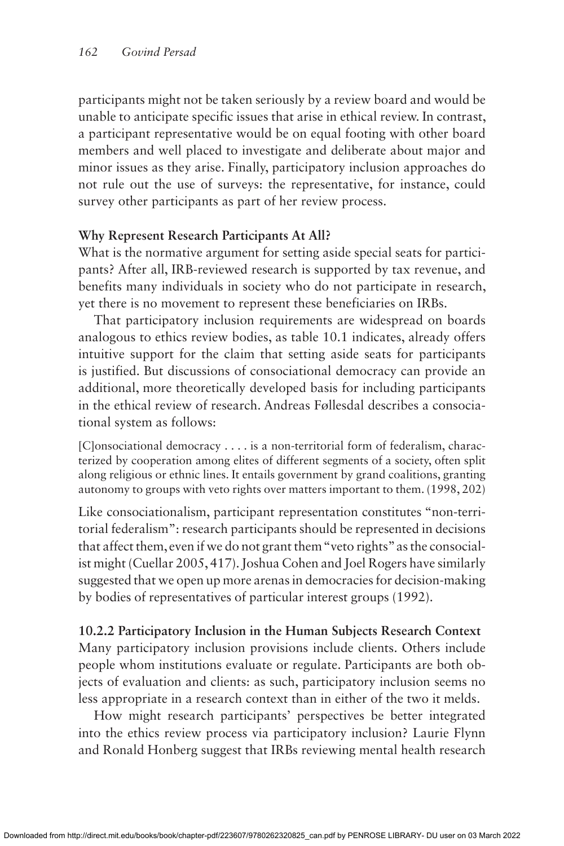participants might not be taken seriously by a review board and would be unable to anticipate specific issues that arise in ethical review. In contrast, a participant representative would be on equal footing with other board members and well placed to investigate and deliberate about major and minor issues as they arise. Finally, participatory inclusion approaches do not rule out the use of surveys: the representative, for instance, could survey other participants as part of her review process.

#### **Why Represent Research Participants At All?**

What is the normative argument for setting aside special seats for participants? After all, IRB-reviewed research is supported by tax revenue, and benefits many individuals in society who do not participate in research, yet there is no movement to represent these beneficiaries on IRBs.

That participatory inclusion requirements are widespread on boards analogous to ethics review bodies, as table 10.1 indicates, already offers intuitive support for the claim that setting aside seats for participants is justified. But discussions of consociational democracy can provide an additional, more theoretically developed basis for including participants in the ethical review of research. Andreas Føllesdal describes a consociational system as follows:

[C]onsociational democracy . . . . is a non-territorial form of federalism, characterized by cooperation among elites of different segments of a society, often split along religious or ethnic lines. It entails government by grand coalitions, granting autonomy to groups with veto rights over matters important to them. (1998, 202)

Like consociationalism, participant representation constitutes " non-territorial federalism": research participants should be represented in decisions that affect them, even if we do not grant them " veto rights "as the consocialist might (Cuellar 2005, 417). Joshua Cohen and Joel Rogers have similarly suggested that we open up more arenas in democracies for decision-making by bodies of representatives of particular interest groups (1992).

## **10.2.2 Participatory Inclusion in the Human Subjects Research Context**  Many participatory inclusion provisions include clients. Others include people whom institutions evaluate or regulate. Participants are both objects of evaluation and clients: as such, participatory inclusion seems no

How might research participants' perspectives be better integrated into the ethics review process via participatory inclusion? Laurie Flynn and Ronald Honberg suggest that IRBs reviewing mental health research

less appropriate in a research context than in either of the two it melds.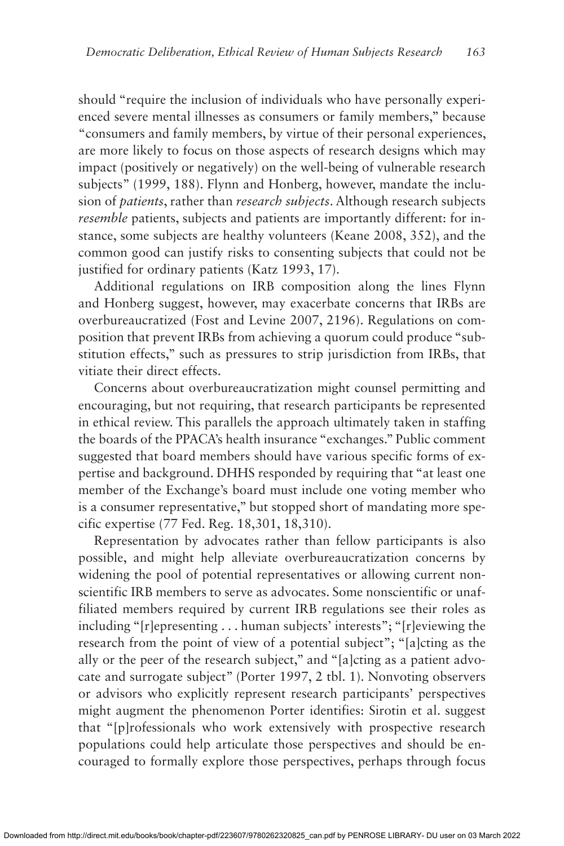should "require the inclusion of individuals who have personally experienced severe mental illnesses as consumers or family members," because " consumers and family members, by virtue of their personal experiences, are more likely to focus on those aspects of research designs which may impact (positively or negatively) on the well-being of vulnerable research subjects" (1999, 188). Flynn and Honberg, however, mandate the inclusion of *patients*, rather than *research subjects*. Although research subjects *resemble* patients, subjects and patients are importantly different: for instance, some subjects are healthy volunteers (Keane 2008, 352), and the common good can justify risks to consenting subjects that could not be justified for ordinary patients (Katz 1993, 17).

Additional regulations on IRB composition along the lines Flynn and Honberg suggest, however, may exacerbate concerns that IRBs are overbureaucratized (Fost and Levine 2007, 2196). Regulations on composition that prevent IRBs from achieving a quorum could produce " substitution effects," such as pressures to strip jurisdiction from IRBs, that vitiate their direct effects.

Concerns about overbureaucratization might counsel permitting and encouraging, but not requiring, that research participants be represented in ethical review. This parallels the approach ultimately taken in staffing the boards of the PPACA's health insurance "exchanges." Public comment suggested that board members should have various specific forms of expertise and background. DHHS responded by requiring that " at least one member of the Exchange's board must include one voting member who is a consumer representative," but stopped short of mandating more specific expertise (77 Fed. Reg. 18,301, 18,310).

Representation by advocates rather than fellow participants is also possible, and might help alleviate overbureaucratization concerns by widening the pool of potential representatives or allowing current nonscientific IRB members to serve as advocates. Some nonscientific or unaffiliated members required by current IRB regulations see their roles as including " [r]epresenting . . . human subjects' interests"; " [r]eviewing the research from the point of view of a potential subject"; "[a]cting as the ally or the peer of the research subject," and " [a]cting as a patient advocate and surrogate subject" (Porter 1997, 2 tbl. 1). Nonvoting observers or advisors who explicitly represent research participants' perspectives might augment the phenomenon Porter identifies: Sirotin et al. suggest that "[p]rofessionals who work extensively with prospective research populations could help articulate those perspectives and should be encouraged to formally explore those perspectives, perhaps through focus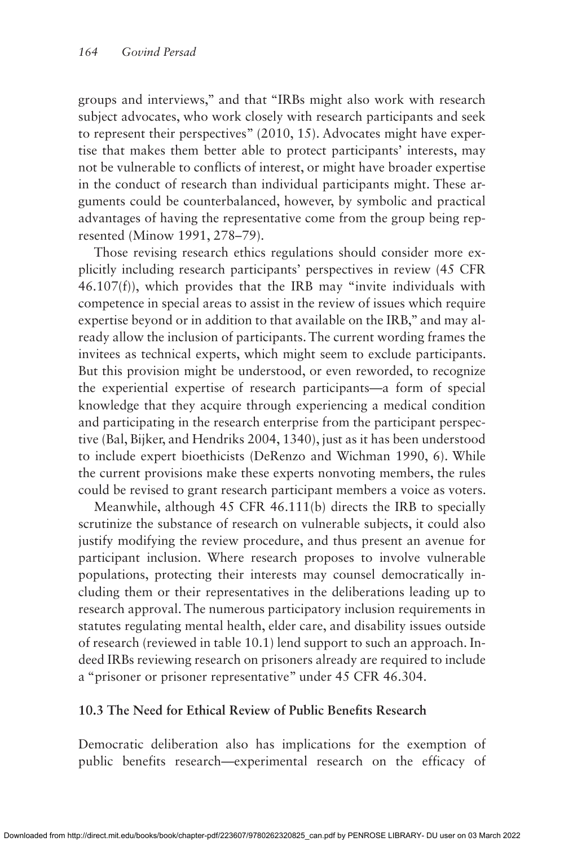groups and interviews," and that "IRBs might also work with research subject advocates, who work closely with research participants and seek to represent their perspectives" (2010, 15). Advocates might have expertise that makes them better able to protect participants' interests, may not be vulnerable to conflicts of interest, or might have broader expertise in the conduct of research than individual participants might. These arguments could be counterbalanced, however, by symbolic and practical advantages of having the representative come from the group being represented (Minow 1991, 278-79).

Those revising research ethics regulations should consider more explicitly including research participants' perspectives in review (45 CFR)  $46.107(f)$ , which provides that the IRB may "invite individuals with competence in special areas to assist in the review of issues which require expertise beyond or in addition to that available on the IRB," and may already allow the inclusion of participants. The current wording frames the invitees as technical experts, which might seem to exclude participants. But this provision might be understood, or even reworded, to recognize the experiential expertise of research participants—a form of special knowledge that they acquire through experiencing a medical condition and participating in the research enterprise from the participant perspective (Bal, Bijker, and Hendriks 2004, 1340), just as it has been understood to include expert bioethicists (DeRenzo and Wichman 1990, 6). While the current provisions make these experts nonvoting members, the rules could be revised to grant research participant members a voice as voters.

Meanwhile, although 45 CFR 46.111(b) directs the IRB to specially scrutinize the substance of research on vulnerable subjects, it could also justify modifying the review procedure, and thus present an avenue for participant inclusion. Where research proposes to involve vulnerable populations, protecting their interests may counsel democratically including them or their representatives in the deliberations leading up to research approval. The numerous participatory inclusion requirements in statutes regulating mental health, elder care, and disability issues outside of research (reviewed in table 10.1) lend support to such an approach. Indeed IRBs reviewing research on prisoners already are required to include a "prisoner or prisoner representative" under 45 CFR 46.304.

#### **10.3 The Need for Ethical Review of Public Benefits Research**

Democratic deliberation also has implications for the exemption of public benefits research—experimental research on the efficacy of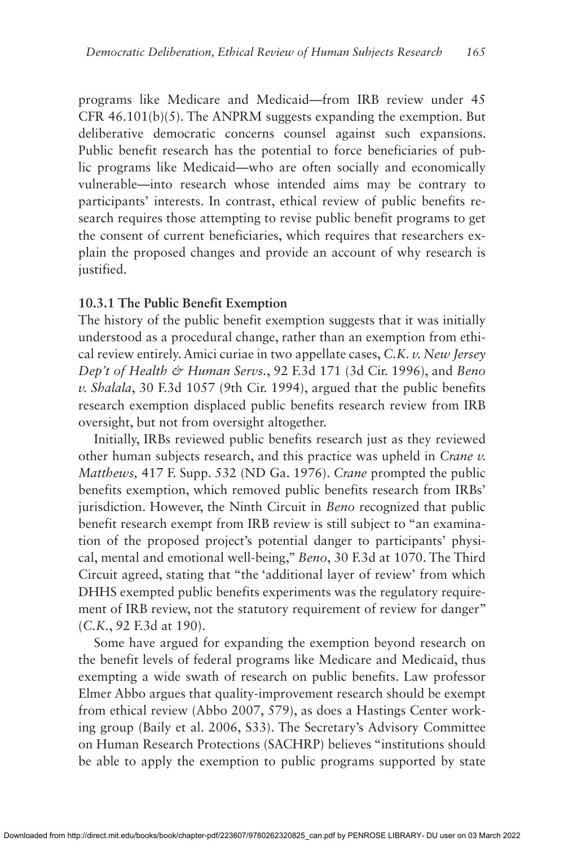programs like Medicare and Medicaid-from IRB review under 45 CFR 46.101(b)(5). The ANPRM suggests expanding the exemption. But deliberative democratic concerns counsel against such expansions. Public benefit research has the potential to force beneficiaries of public programs like Medicaid—who are often socially and economically vulnerable — into research whose intended aims may be contrary to participants' interests. In contrast, ethical review of public benefits research requires those attempting to revise public benefit programs to get the consent of current beneficiaries, which requires that researchers explain the proposed changes and provide an account of why research is justified.

#### **10.3.1 The Public Benefit Exemption**

The history of the public benefit exemption suggests that it was initially understood as a procedural change, rather than an exemption from ethical review entirely. Amici curiae in two appellate cases, *C.K. v. New Jersey Dep't of Health & Human Servs.*, 92 F.3d 171 (3d Cir. 1996), and *Beno v. Shalala*, 30 F.3d 1057 (9th Cir. 1994), argued that the public benefits research exemption displaced public benefits research review from IRB oversight, but not from oversight altogether.

Initially, IRBs reviewed public benefits research just as they reviewed other human subjects research, and this practice was upheld in *Crane v. Matthews,* 417 F. Supp. 532 (ND Ga. 1976). *Crane* prompted the public benefits exemption, which removed public benefits research from IRBs ' jurisdiction. However, the Ninth Circuit in *Beno* recognized that public benefit research exempt from IRB review is still subject to " an examination of the proposed project's potential danger to participants' physical, mental and emotional well-being, " *Beno*, 30 F.3d at 1070. The Third Circuit agreed, stating that "the 'additional layer of review' from which DHHS exempted public benefits experiments was the regulatory requirement of IRB review, not the statutory requirement of review for danger" ( *C.K.*, 92 F.3d at 190).

Some have argued for expanding the exemption beyond research on the benefit levels of federal programs like Medicare and Medicaid, thus exempting a wide swath of research on public benefits. Law professor Elmer Abbo argues that quality-improvement research should be exempt from ethical review (Abbo 2007, 579), as does a Hastings Center working group (Baily et al. 2006, S33). The Secretary's Advisory Committee on Human Research Protections (SACHRP) believes " institutions should be able to apply the exemption to public programs supported by state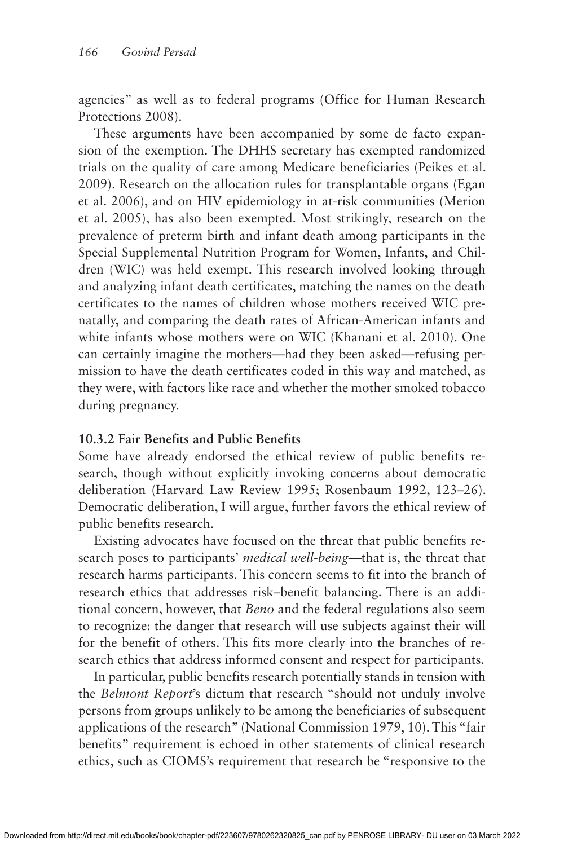agencies" as well as to federal programs (Office for Human Research Protections 2008).

These arguments have been accompanied by some de facto expansion of the exemption. The DHHS secretary has exempted randomized trials on the quality of care among Medicare beneficiaries (Peikes et al. 2009). Research on the allocation rules for transplantable organs (Egan et al. 2006), and on HIV epidemiology in at-risk communities (Merion et al. 2005), has also been exempted. Most strikingly, research on the prevalence of preterm birth and infant death among participants in the Special Supplemental Nutrition Program for Women, Infants, and Children (WIC) was held exempt. This research involved looking through and analyzing infant death certificates, matching the names on the death certificates to the names of children whose mothers received WIC prenatally, and comparing the death rates of African-American infants and white infants whose mothers were on WIC (Khanani et al. 2010). One can certainly imagine the mothers—had they been asked—refusing permission to have the death certificates coded in this way and matched, as they were, with factors like race and whether the mother smoked tobacco during pregnancy.

### **10.3.2 Fair Benefits and Public Benefits**

Some have already endorsed the ethical review of public benefits research, though without explicitly invoking concerns about democratic deliberation (Harvard Law Review 1995; Rosenbaum 1992, 123-26). Democratic deliberation, I will argue, further favors the ethical review of public benefits research.

Existing advocates have focused on the threat that public benefits research poses to participants' *medical well-being*—that is, the threat that research harms participants. This concern seems to fit into the branch of research ethics that addresses risk – benefit balancing. There is an additional concern, however, that *Beno* and the federal regulations also seem to recognize: the danger that research will use subjects against their will for the benefit of others. This fits more clearly into the branches of research ethics that address informed consent and respect for participants.

In particular, public benefits research potentially stands in tension with the *Belmont Report's* dictum that research "should not unduly involve persons from groups unlikely to be among the beneficiaries of subsequent applications of the research" (National Commission 1979, 10). This "fair benefits" requirement is echoed in other statements of clinical research ethics, such as CIOMS's requirement that research be "responsive to the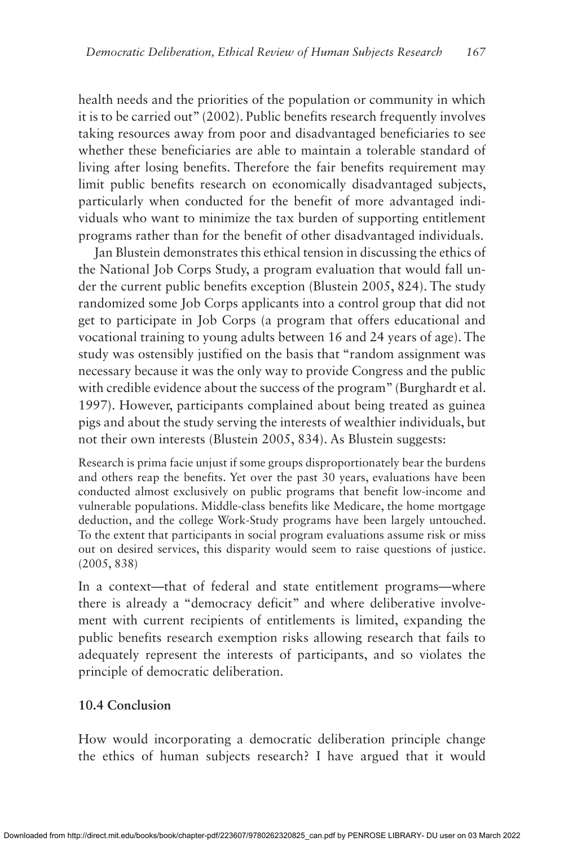health needs and the priorities of the population or community in which it is to be carried out" (2002). Public benefits research frequently involves taking resources away from poor and disadvantaged beneficiaries to see whether these beneficiaries are able to maintain a tolerable standard of living after losing benefits. Therefore the fair benefits requirement may limit public benefits research on economically disadvantaged subjects, particularly when conducted for the benefit of more advantaged individuals who want to minimize the tax burden of supporting entitlement programs rather than for the benefit of other disadvantaged individuals.

Jan Blustein demonstrates this ethical tension in discussing the ethics of the National Job Corps Study, a program evaluation that would fall under the current public benefits exception (Blustein 2005, 824). The study randomized some Job Corps applicants into a control group that did not get to participate in Job Corps (a program that offers educational and vocational training to young adults between 16 and 24 years of age). The study was ostensibly justified on the basis that " random assignment was necessary because it was the only way to provide Congress and the public with credible evidence about the success of the program" (Burghardt et al. 1997). However, participants complained about being treated as guinea pigs and about the study serving the interests of wealthier individuals, but not their own interests (Blustein 2005, 834). As Blustein suggests:

Research is prima facie unjust if some groups disproportionately bear the burdens and others reap the benefits. Yet over the past 30 years, evaluations have been conducted almost exclusively on public programs that benefit low-income and vulnerable populations. Middle-class benefits like Medicare, the home mortgage deduction, and the college Work-Study programs have been largely untouched. To the extent that participants in social program evaluations assume risk or miss out on desired services, this disparity would seem to raise questions of justice. (2005, 838)

In a context—that of federal and state entitlement programs—where there is already a "democracy deficit" and where deliberative involvement with current recipients of entitlements is limited, expanding the public benefits research exemption risks allowing research that fails to adequately represent the interests of participants, and so violates the principle of democratic deliberation.

#### **10.4 Conclusion**

How would incorporating a democratic deliberation principle change the ethics of human subjects research? I have argued that it would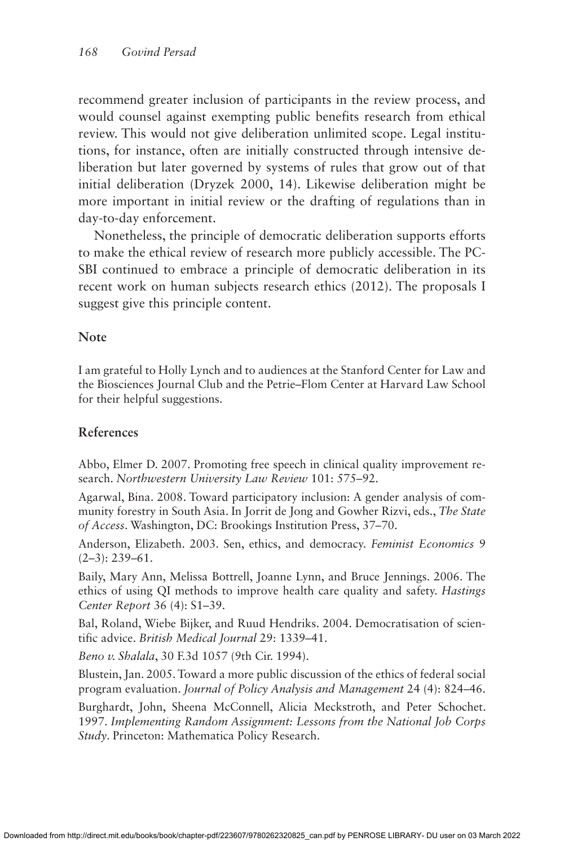recommend greater inclusion of participants in the review process, and would counsel against exempting public benefits research from ethical review. This would not give deliberation unlimited scope. Legal institutions, for instance, often are initially constructed through intensive deliberation but later governed by systems of rules that grow out of that initial deliberation (Dryzek 2000, 14). Likewise deliberation might be more important in initial review or the drafting of regulations than in day-to-day enforcement.

Nonetheless, the principle of democratic deliberation supports efforts to make the ethical review of research more publicly accessible. The PC-SBI continued to embrace a principle of democratic deliberation in its recent work on human subjects research ethics (2012). The proposals I suggest give this principle content.

#### **Note**

I am grateful to Holly Lynch and to audiences at the Stanford Center for Law and the Biosciences Journal Club and the Petrie – Flom Center at Harvard Law School for their helpful suggestions.

#### **References**

Abbo, Elmer D. 2007. Promoting free speech in clinical quality improvement research. *Northwestern University Law Review* 101: 575-92.

Agarwal, Bina. 2008. Toward participatory inclusion: A gender analysis of community forestry in South Asia . In Jorrit de Jongand Gowher Rizvi , eds., *The State of Access*. Washington, DC: Brookings Institution Press, 37–70.

Anderson, Elizabeth. 2003. Sen, ethics, and democracy. *Feminist Economics* 9  $(2 - 3)$ : 239-61.

Baily, Mary Ann, Melissa Bottrell, Joanne Lynn, and Bruce Jennings. 2006. The ethics of using QI methods to improve health care quality and safety. *Hastings Center Report* 36 (4): S1-39.

Bal, Roland, Wiebe Bijker, and Ruud Hendriks. 2004. Democratisation of scientific advice. *British Medical Journal* 29: 1339-41.

*Beno v. Shalala*, 30 F.3d 1057 (9th Cir. 1994).

Blustein, Jan. 2005. Toward a more public discussion of the ethics of federal social program evaluation. *Journal of Policy Analysis and Management* 24 (4): 824–46.

Burghardt, John, Sheena McConnell, Alicia Meckstroth, and Peter Schochet. 1997 . *Implementing Random Assignment: Lessons from the National Job Corps Study*. Princeton: Mathematica Policy Research.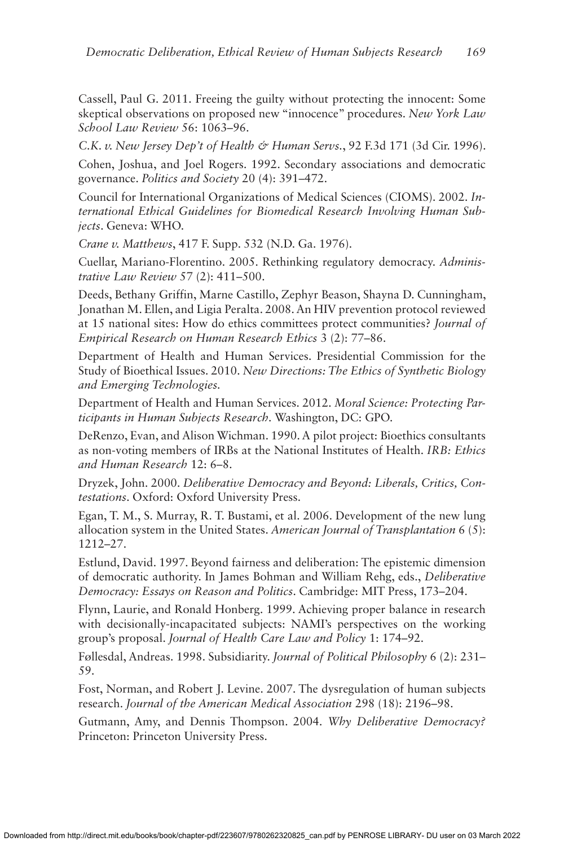Cassell, Paul G. 2011. Freeing the guilty without protecting the innocent: Some skeptical observations on proposed new "innocence" procedures. *New York Law School Law Review 56: 1063-96.* 

*C.K. v. New Jersey Dep't of Health & Human Servs.*, 92 F.3d 171 (3d Cir. 1996).

Cohen, Joshua, and Joel Rogers. 1992. Secondary associations and democratic governance. *Politics and Society* 20 (4): 391-472.

Council for International Organizations of Medical Sciences (CIOMS). 2002. In*ternational Ethical Guidelines for Biomedical Research Involving Human Subjects*. Geneva: WHO.

*Crane v. Matthews*, 417 F. Supp. 532 (N.D. Ga. 1976).

Cuellar, Mariano-Florentino. 2005. Rethinking regulatory democracy. *Administrative Law Review 57 (2): 411-500.* 

Deeds, Bethany Griffin, Marne Castillo, Zephyr Beason, Shayna D. Cunningham, Jonathan M. Ellen, and Ligia Peralta. 2008. An HIV prevention protocol reviewed at 15 national sites: How do ethics committees protect communities? *Journal of Empirical Research on Human Research Ethics* 3 (2): 77–86.

Department of Health and Human Services. Presidential Commission for the Study of Bioethical Issues. 2010 . *New Directions: The Ethics of Synthetic Biology and Emerging Technologies.*

Department of Health and Human Services . 2012 . *Moral Science: Protecting Participants in Human Subjects Research.* Washington, DC: GPO.

DeRenzo, Evan, and Alison Wichman. 1990. A pilot project: Bioethics consultants as non-voting members of IRBs at the National Institutes of Health. *IRB: Ethics*  and Human Research 12: 6-8.

Dryzek , John . 2000 . *Deliberative Democracy and Beyond: Liberals, Critics, Con*testations. Oxford: Oxford University Press.

Egan, T. M., S. Murray, R. T. Bustami, et al. 2006. Development of the new lung allocation system in the United States. *American Journal of Transplantation* 6 (5): 1212 – 27.

Estlund, David. 1997. Beyond fairness and deliberation: The epistemic dimension of democratic authority . In James Bohmanand William Rehg , eds., *Deliberative Democracy: Essays on Reason and Politics. Cambridge: MIT Press, 173–204.* 

Flynn, Laurie, and Ronald Honberg. 1999. Achieving proper balance in research with decisionally-incapacitated subjects: NAMI's perspectives on the working group's proposal. *Journal of Health Care Law and Policy* 1: 174–92.

Føllesdal, Andreas. 1998. Subsidiarity. *Journal of Political Philosophy* 6 (2): 231– 59.

Fost, Norman, and Robert J. Levine. 2007. The dysregulation of human subjects research. *Journal of the American Medical Association* 298 (18): 2196-98.

Gutmann, Amy, and Dennis Thompson. 2004. Why Deliberative Democracy? Princeton: Princeton University Press.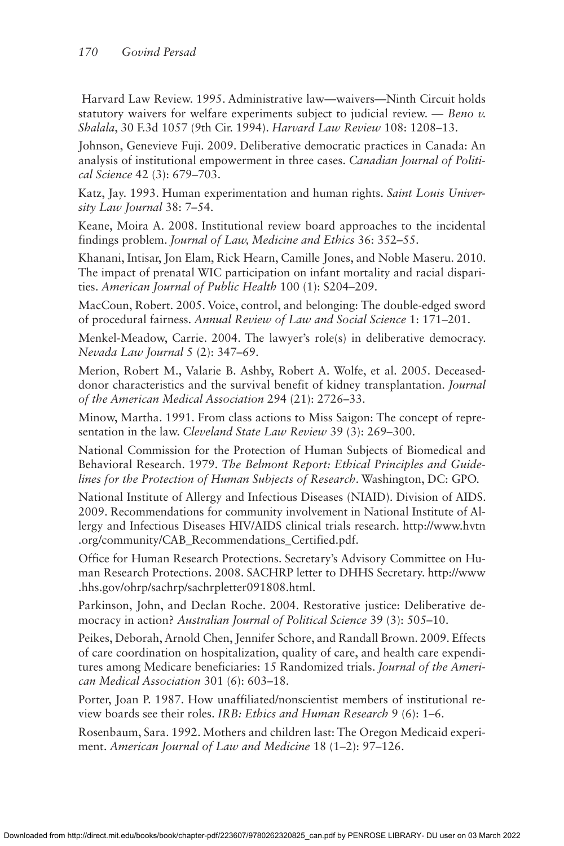Harvard Law Review . 1995 . Administrative law — waivers — Ninth Circuit holds statutory waivers for welfare experiments subject to judicial review. — *Beno v. Shalala*, 30 F.3d 1057 (9th Cir. 1994). *Harvard Law Review* 108: 1208–13.

Johnson , Genevieve Fuji . 2009 . Deliberative democratic practices in Canada: An analysis of institutional empowerment in three cases. *Canadian Journal of Political Science* 42 (3): 679–703.

Katz, Jay. 1993. Human experimentation and human rights. Saint Louis University Law Journal 38: 7-54.

Keane, Moira A. 2008. Institutional review board approaches to the incidental findings problem. *Journal of Law, Medicine and Ethics* 36: 352–55.

Khanani, Intisar, Jon Elam, Rick Hearn, Camille Jones, and Noble Maseru. 2010. The impact of prenatal WIC participation on infant mortality and racial disparities. *American Journal of Public Health* 100 (1): S204–209.

MacCoun, Robert. 2005. Voice, control, and belonging: The double-edged sword of procedural fairness. Annual Review of Law and Social Science 1: 171-201.

Menkel-Meadow, Carrie. 2004. The lawyer's role(s) in deliberative democracy. *Nevada Law Journal* 5 (2): 347–69.

Merion, Robert M., Valarie B. Ashby, Robert A. Wolfe, et al. 2005. Deceaseddonor characteristics and the survival benefit of kidney transplantation. *Journal of the American Medical Association* 294 (21): 2726–33.

Minow, Martha. 1991. From class actions to Miss Saigon: The concept of representation in the law. *Cleveland State Law Review* 39 (3): 269–300.

National Commission for the Protection of Human Subjects of Biomedical and Behavioral Research. 1979. The Belmont Report: Ethical Principles and Guide*lines for the Protection of Human Subjects of Research*. Washington, DC: GPO.

National Institute of Allergy and Infectious Diseases (NIAID) . Division of AIDS. 2009 . Recommendations for community involvement in National Institute of Allergy and Infectious Diseases HIV/AIDS clinical trials research. http://www.hvtn .org/community/CAB\_Recommendations\_Certified.pdf .

Office for Human Research Protections. Secretary's Advisory Committee on Human Research Protections. 2008 . SACHRP letter to DHHS Secretary. http://www .hhs.gov/ohrp/sachrp/sachrpletter091808.html .

Parkinson, John, and Declan Roche. 2004. Restorative justice: Deliberative democracy in action? *Australian Journal of Political Science* 39 (3): 505–10.

Peikes, Deborah, Arnold Chen, Jennifer Schore, and Randall Brown. 2009. Effects of care coordination on hospitalization, quality of care, and health care expenditures among Medicare beneficiaries: 15 Randomized trials. *Journal of the American Medical Association* 301 (6): 603-18.

Porter, Joan P. 1987. How unaffiliated/nonscientist members of institutional review boards see their roles. *IRB: Ethics and Human Research* 9 (6): 1–6.

Rosenbaum , Sara . 1992 . Mothers and children last: The Oregon Medicaid experiment. *American Journal of Law and Medicine* 18 (1–2): 97–126.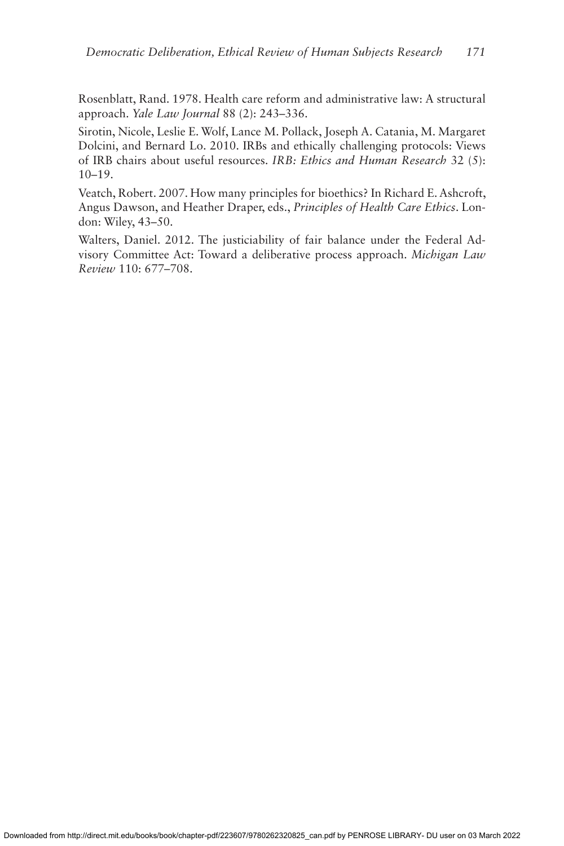Rosenblatt, Rand. 1978. Health care reform and administrative law: A structural approach. *Yale Law Journal* 88 (2): 243-336.

Sirotin, Nicole, Leslie E. Wolf, Lance M. Pollack, Joseph A. Catania, M. Margaret Dolcini, and Bernard Lo. 2010. IRBs and ethically challenging protocols: Views of IRB chairs about useful resources. *IRB: Ethics and Human Research* 32( 5 ):  $10 - 19$ .

Veatch, Robert. 2007. How many principles for bioethics? In Richard E. Ashcroft, Angus Dawson , and Heather Draper, eds., *Principles of Health Care Ethics*. London: Wiley, 43-50.

Walters, Daniel. 2012. The justiciability of fair balance under the Federal Advisory Committee Act: Toward a deliberative process approach. *Michigan Law Review* 110: 677-708.